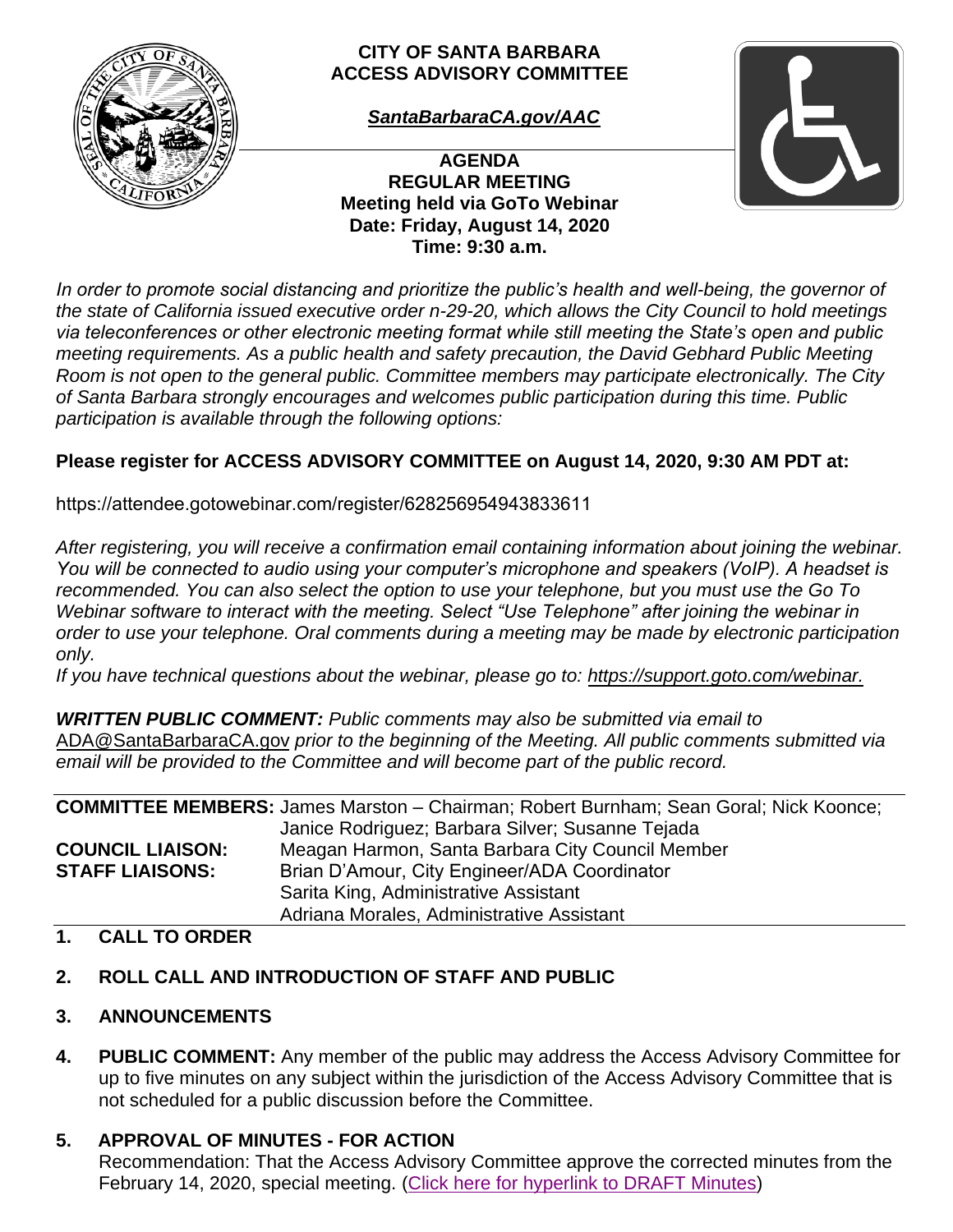

#### **CITY OF SANTA BARBARA ACCESS ADVISORY COMMITTEE**

*[SantaBarbaraCA.gov/AAC](https://www.santabarbaraca.gov/gov/brdcomm/ac/arts/agendas.asp)*

**AGENDA REGULAR MEETING Meeting held via GoTo Webinar Date: Friday, August 14, 2020 Time: 9:30 a.m.** 



*In order to promote social distancing and prioritize the public's health and well-being, the governor of the state of California issued executive order n-29-20, which allows the City Council to hold meetings via teleconferences or other electronic meeting format while still meeting the State's open and public meeting requirements. As a public health and safety precaution, the David Gebhard Public Meeting Room is not open to the general public. Committee members may participate electronically. The City of Santa Barbara strongly encourages and welcomes public participation during this time. Public participation is available through the following options:* 

# **Please register for ACCESS ADVISORY COMMITTEE on August 14, 2020, 9:30 AM PDT at:**

[https://attendee.gotowebinar.com/register/628256954943833611](https://attendee.gotowebinar.com/register/5460664433581925133)

*After registering, you will receive a confirmation email containing information about joining the webinar. You will be connected to audio using your computer's microphone and speakers (VoIP). A headset is recommended. You can also select the option to use your telephone, but you must use the Go To Webinar software to interact with the meeting. Select "Use Telephone" after joining the webinar in order to use your telephone. Oral comments during a meeting may be made by electronic participation only.* 

*If you have technical questions about the webinar, please go to: [https://support.goto.com/webinar.](https://support.goto.com/webinar)*

*WRITTEN PUBLIC COMMENT: Public comments may also be submitted via email to*  [ADA@SantaBarbaraCA.gov](mailto:ADA@SantaBarbaraCA.gov) *prior to the beginning of the Meeting. All public comments submitted via email will be provided to the Committee and will become part of the public record.* 

|                         | <b>COMMITTEE MEMBERS:</b> James Marston - Chairman; Robert Burnham; Sean Goral; Nick Koonce; |
|-------------------------|----------------------------------------------------------------------------------------------|
|                         | Janice Rodriguez; Barbara Silver; Susanne Tejada                                             |
| <b>COUNCIL LIAISON:</b> | Meagan Harmon, Santa Barbara City Council Member                                             |
| <b>STAFF LIAISONS:</b>  | Brian D'Amour, City Engineer/ADA Coordinator                                                 |
|                         | Sarita King, Administrative Assistant                                                        |
|                         | Adriana Morales, Administrative Assistant                                                    |

#### **1. CALL TO ORDER**

## **2. ROLL CALL AND INTRODUCTION OF STAFF AND PUBLIC**

## **3. ANNOUNCEMENTS**

**4. PUBLIC COMMENT:** Any member of the public may address the Access Advisory Committee for up to five minutes on any subject within the jurisdiction of the Access Advisory Committee that is not scheduled for a public discussion before the Committee.

## **5. APPROVAL OF MINUTES - FOR ACTION**

Recommendation: That the Access Advisory Committee approve the corrected minutes from the February 14, 2020, special meeting. [\(Click here for hyperlink to DRAFT Minutes\)](https://www.santabarbaraca.gov/SBdocuments/Advisory_Groups/Access_Advisory_Committee/Current/05_Minutes/2020-02-14_February_14_2020_Access_Advisory_Committee_DRAFT_Minutes.pdf)